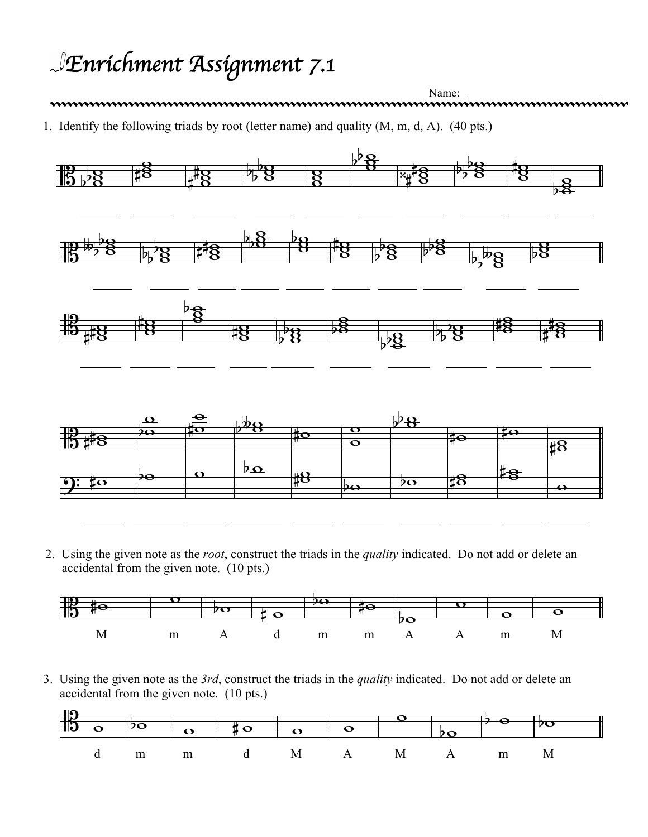## *Enrichment Assignment 7.1*

Name: 1. Identify the following triads by root (letter name) and quality (M, m, d, A). (40 pts.)



2. Using the given note as the *root*, construct the triads in the *quality* indicated. Do not add or delete an accidental from the given note. (10 pts.)



3. Using the given note as the *3rd*, construct the triads in the *quality* indicated. Do not add or delete an accidental from the given note. (10 pts.)